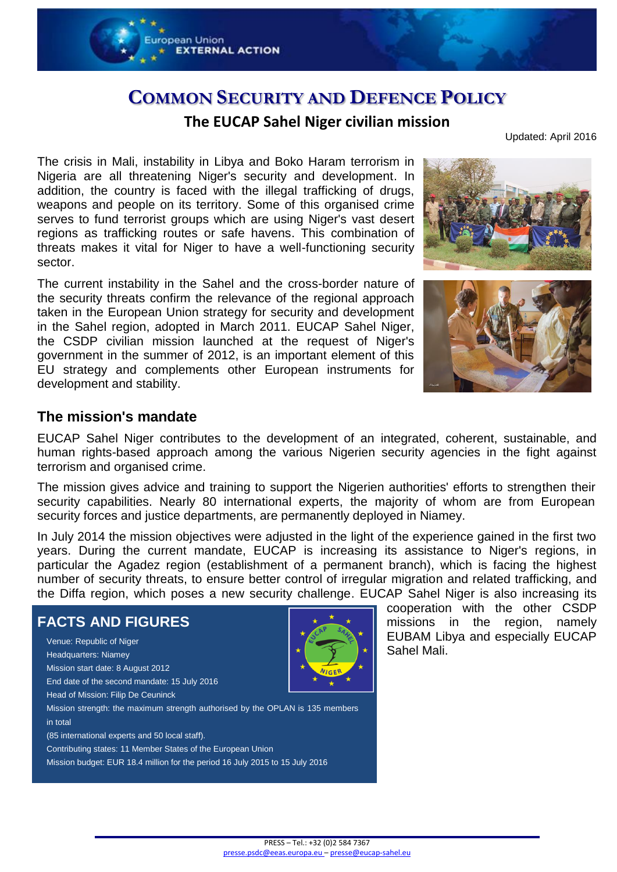

# **COMMON SECURITY AND DEFENCE POLICY**

### **The EUCAP Sahel Niger civilian mission**

Updated: April 2016

The crisis in Mali, instability in Libya and Boko Haram terrorism in Nigeria are all threatening Niger's security and development. In addition, the country is faced with the illegal trafficking of drugs, weapons and people on its territory. Some of this organised crime serves to fund terrorist groups which are using Niger's vast desert regions as trafficking routes or safe havens. This combination of threats makes it vital for Niger to have a well-functioning security sector.

The current instability in the Sahel and the cross-border nature of the security threats confirm the relevance of the regional approach taken in the European Union strategy for security and development in the Sahel region, adopted in March 2011. EUCAP Sahel Niger, the CSDP civilian mission launched at the request of Niger's government in the summer of 2012, is an important element of this EU strategy and complements other European instruments for development and stability.





### **The mission's mandate**

EUCAP Sahel Niger contributes to the development of an integrated, coherent, sustainable, and human rights-based approach among the various Nigerien security agencies in the fight against terrorism and organised crime.

The mission gives advice and training to support the Nigerien authorities' efforts to strengthen their security capabilities. Nearly 80 international experts, the majority of whom are from European security forces and justice departments, are permanently deployed in Niamey.

In July 2014 the mission objectives were adjusted in the light of the experience gained in the first two years. During the current mandate, EUCAP is increasing its assistance to Niger's regions, in particular the Agadez region (establishment of a permanent branch), which is facing the highest number of security threats, to ensure better control of irregular migration and related trafficking, and the Diffa region, which poses a new security challenge. EUCAP Sahel Niger is also increasing its

#### **FACTS AND FIGURES** Venue: Republic of Niger Headquarters: Niamey Mission start date: 8 August 2012 End date of the second mandate: 15 July 2016 Head of Mission: Filip De Ceuninck Mission strength: the maximum strength authorised by the OPLAN is 135 members in total (85 international experts and 50 local staff). Contributing states: 11 Member States of the European Union Mission budget: EUR 18.4 million for the period 16 July 2015 to 15 July 2016



cooperation with the other CSDP missions in the region, namely EUBAM Libya and especially EUCAP Sahel Mali.